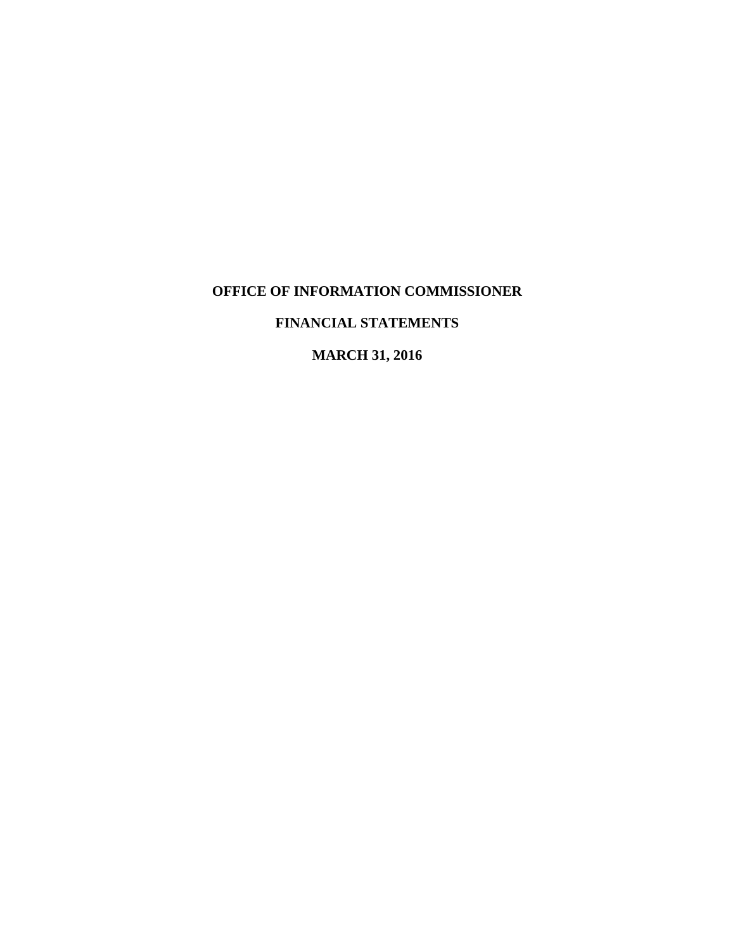# **FINANCIAL STATEMENTS**

**MARCH 31, 2016**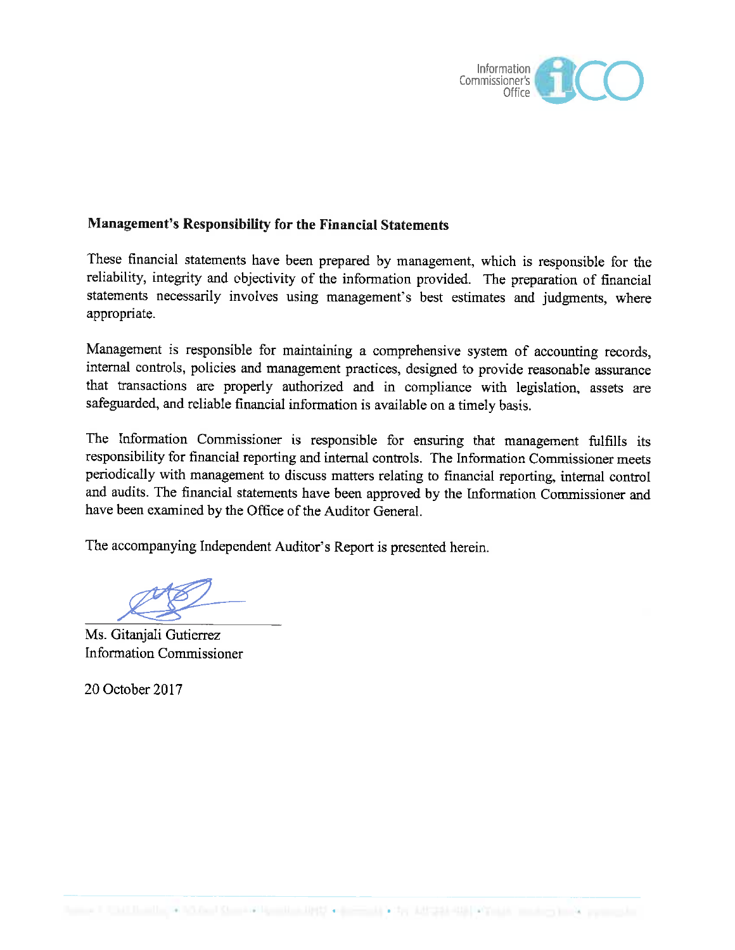

# **Management's Responsibility for the Financial Statements**

These financial statements have been prepared by management, which is responsible for the reliability, integrity and objectivity of the information provided. The preparation of financial statements necessarily involves using management's best estimates and judgments, where appropriate.

Management is responsible for maintaining a comprehensive system of accounting records, internal controls, policies and management practices, designed to provide reasonable assurance that transactions are properly authorized and in compliance with legislation, assets are safeguarded, and reliable financial information is available on a timely basis.

The Information Commissioner is responsible for ensuring that management fulfills its responsibility for financial reporting and internal controls. The Information Commissioner meets periodically with management to discuss matters relating to financial reporting, internal control and audits. The financial statements have been approved by the Information Commissioner and have been examined by the Office of the Auditor General.

The accompanying Independent Auditor's Report is presented herein.

Ms. Gitaniali Gutierrez **Information Commissioner** 

20 October 2017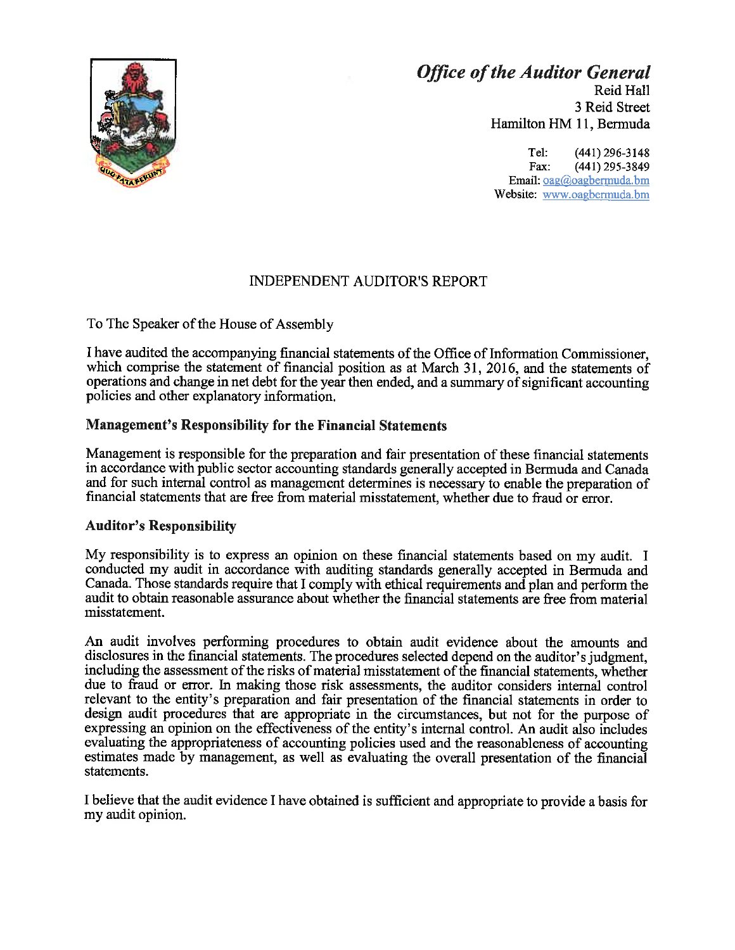

# **Office of the Auditor General**

Reid Hall 3 Reid Street Hamilton HM 11, Bermuda

Tel:  $(441)$  296-3148 Fax: (441) 295-3849 Email: oag@oagbermuda.bm Website: www.oagbermuda.bm

# **INDEPENDENT AUDITOR'S REPORT**

To The Speaker of the House of Assembly

I have audited the accompanying financial statements of the Office of Information Commissioner, which comprise the statement of financial position as at March 31, 2016, and the statements of operations and change in net debt for the year then ended, and a summary of significant accounting policies and other explanatory information.

# **Management's Responsibility for the Financial Statements**

Management is responsible for the preparation and fair presentation of these financial statements in accordance with public sector accounting standards generally accepted in Bermuda and Canada and for such internal control as management determines is necessary to enable the preparation of financial statements that are free from material misstatement, whether due to fraud or error.

## **Auditor's Responsibility**

My responsibility is to express an opinion on these financial statements based on my audit. I conducted my audit in accordance with auditing standards generally accepted in Bermuda and Canada. Those standards require that I comply with ethical requirements and plan and perform the audit to obtain reasonable assurance about whether the financial statements are free from material misstatement.

An audit involves performing procedures to obtain audit evidence about the amounts and disclosures in the financial statements. The procedures selected depend on the auditor's judgment, including the assessment of the risks of material misstatement of the financial statements, whether due to fraud or error. In making those risk assessments, the auditor considers internal control relevant to the entity's preparation and fair presentation of the financial statements in order to design audit procedures that are appropriate in the circumstances, but not for the purpose of expressing an opinion on the effectiveness of the entity's internal control. An audit also includes evaluating the appropriateness of accounting policies used and the reasonableness of accounting estimates made by management, as well as evaluating the overall presentation of the financial statements.

I believe that the audit evidence I have obtained is sufficient and appropriate to provide a basis for my audit opinion.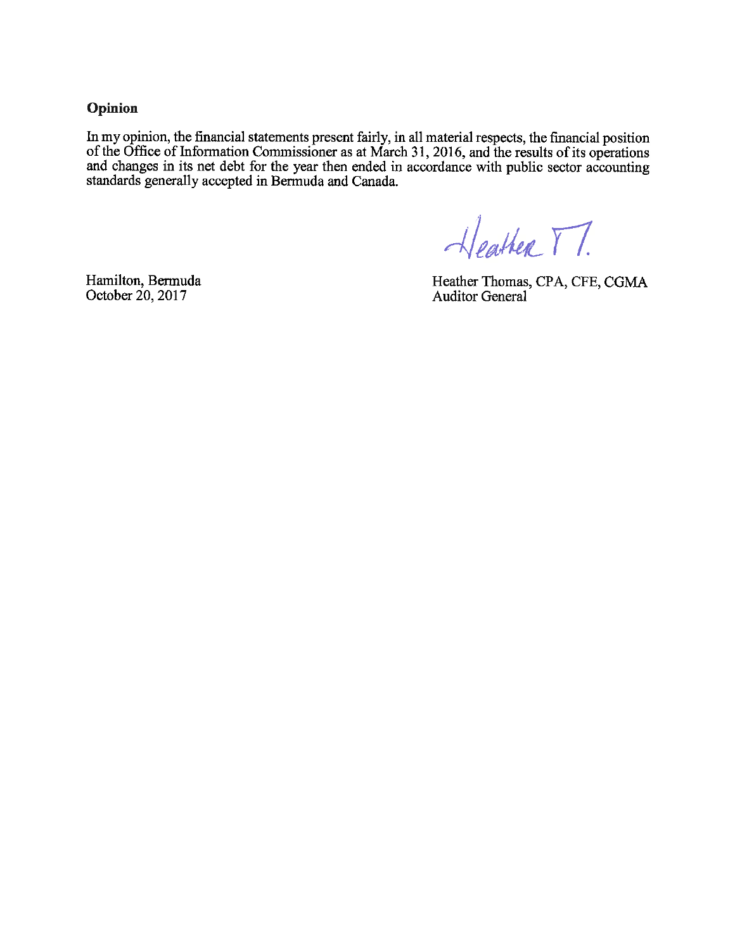Opinion

In my opinion, the financial statements present fairly, in all material respects, the financial position of the Office of Information Commissioner as at March 31, 2016, and the results of its operations<br>and changes in its net debt for the year then ended in accordance with public sector accounting standards generally accepted in Bermuda and Canada.

Heather TT.

Hamilton, Bermuda October 20, 2017

Heather Thomas, CPA, CFE, CGMA<br>Auditor General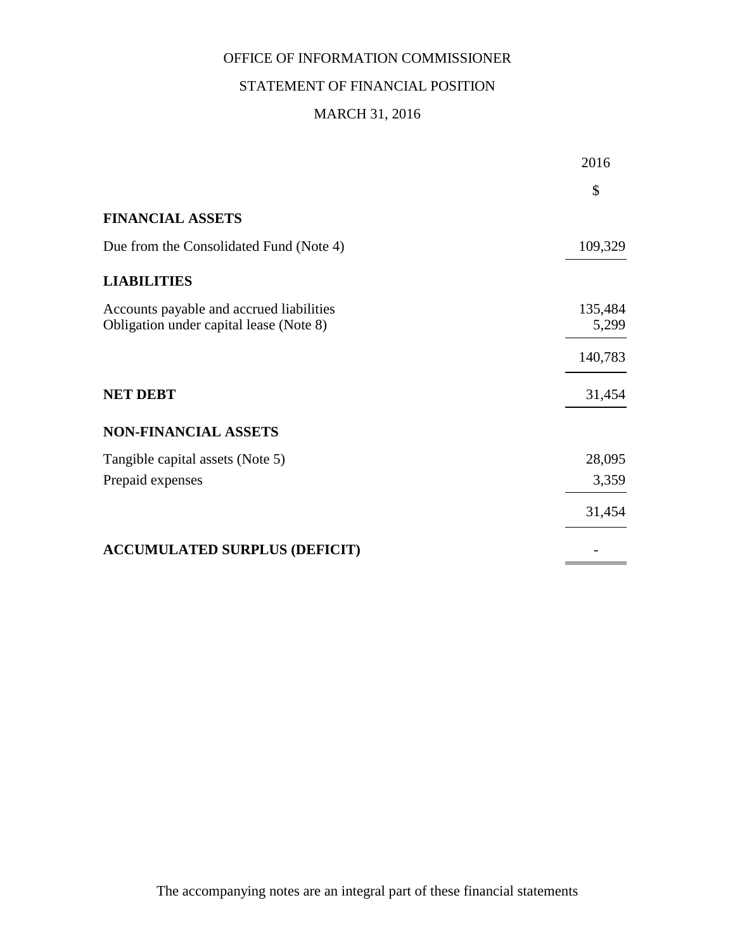# STATEMENT OF FINANCIAL POSITION

# MARCH 31, 2016

|                                                                                     | 2016             |
|-------------------------------------------------------------------------------------|------------------|
|                                                                                     | \$               |
| <b>FINANCIAL ASSETS</b>                                                             |                  |
| Due from the Consolidated Fund (Note 4)                                             | 109,329          |
| <b>LIABILITIES</b>                                                                  |                  |
| Accounts payable and accrued liabilities<br>Obligation under capital lease (Note 8) | 135,484<br>5,299 |
|                                                                                     | 140,783          |
| <b>NET DEBT</b>                                                                     | 31,454           |
| <b>NON-FINANCIAL ASSETS</b>                                                         |                  |
| Tangible capital assets (Note 5)                                                    | 28,095           |
| Prepaid expenses                                                                    | 3,359            |
|                                                                                     | 31,454           |
| <b>ACCUMULATED SURPLUS (DEFICIT)</b>                                                |                  |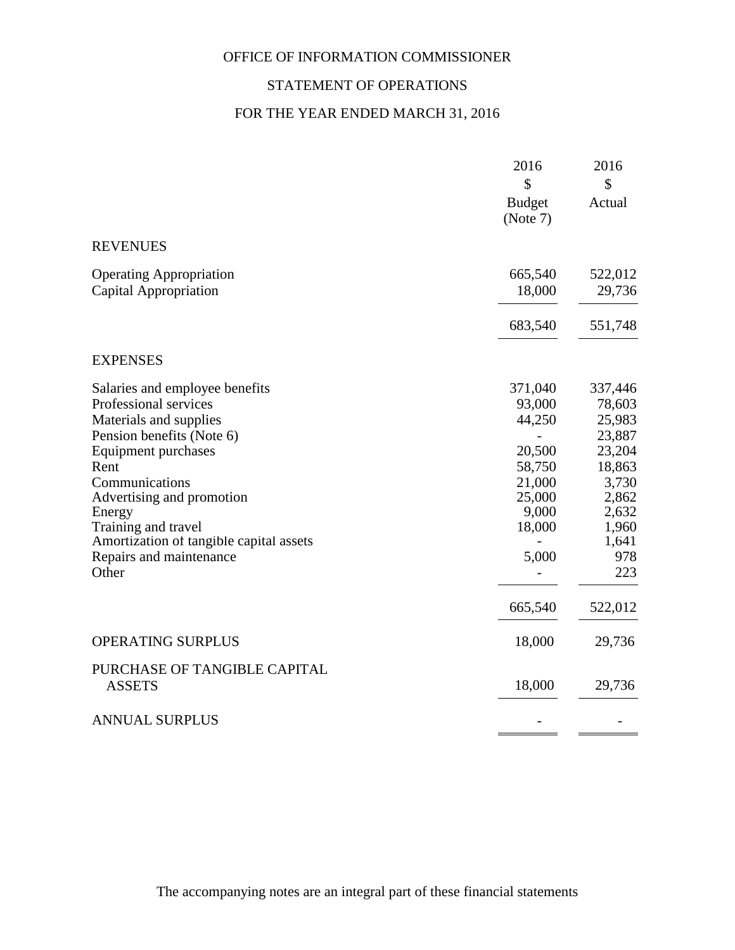# STATEMENT OF OPERATIONS

# FOR THE YEAR ENDED MARCH 31, 2016

|                                                                                                                                                                                                                                                                                                              | 2016<br>\$<br><b>Budget</b><br>(Note 7)                                                                    | 2016<br>\$<br>Actual                                                                                                            |
|--------------------------------------------------------------------------------------------------------------------------------------------------------------------------------------------------------------------------------------------------------------------------------------------------------------|------------------------------------------------------------------------------------------------------------|---------------------------------------------------------------------------------------------------------------------------------|
| <b>REVENUES</b>                                                                                                                                                                                                                                                                                              |                                                                                                            |                                                                                                                                 |
| <b>Operating Appropriation</b><br>Capital Appropriation                                                                                                                                                                                                                                                      | 665,540<br>18,000                                                                                          | 522,012<br>29,736                                                                                                               |
|                                                                                                                                                                                                                                                                                                              | 683,540                                                                                                    | 551,748                                                                                                                         |
| <b>EXPENSES</b>                                                                                                                                                                                                                                                                                              |                                                                                                            |                                                                                                                                 |
| Salaries and employee benefits<br>Professional services<br>Materials and supplies<br>Pension benefits (Note 6)<br>Equipment purchases<br>Rent<br>Communications<br>Advertising and promotion<br>Energy<br>Training and travel<br>Amortization of tangible capital assets<br>Repairs and maintenance<br>Other | 371,040<br>93,000<br>44,250<br>20,500<br>58,750<br>21,000<br>25,000<br>9,000<br>18,000<br>5,000<br>665,540 | 337,446<br>78,603<br>25,983<br>23,887<br>23,204<br>18,863<br>3,730<br>2,862<br>2,632<br>1,960<br>1,641<br>978<br>223<br>522,012 |
| <b>OPERATING SURPLUS</b>                                                                                                                                                                                                                                                                                     | 18,000                                                                                                     | 29,736                                                                                                                          |
| PURCHASE OF TANGIBLE CAPITAL<br><b>ASSETS</b>                                                                                                                                                                                                                                                                | 18,000                                                                                                     | 29,736                                                                                                                          |
| <b>ANNUAL SURPLUS</b>                                                                                                                                                                                                                                                                                        |                                                                                                            |                                                                                                                                 |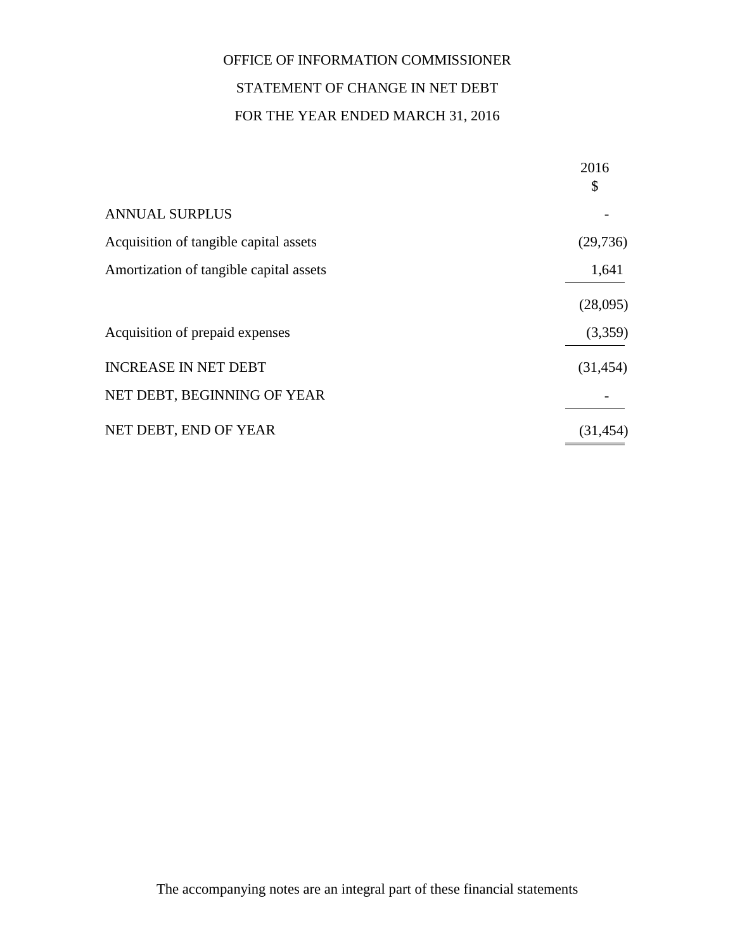# OFFICE OF INFORMATION COMMISSIONER STATEMENT OF CHANGE IN NET DEBT FOR THE YEAR ENDED MARCH 31, 2016

|                                         | 2016<br>\$ |
|-----------------------------------------|------------|
| <b>ANNUAL SURPLUS</b>                   |            |
| Acquisition of tangible capital assets  | (29, 736)  |
| Amortization of tangible capital assets | 1,641      |
|                                         | (28,095)   |
| Acquisition of prepaid expenses         | (3,359)    |
| <b>INCREASE IN NET DEBT</b>             | (31, 454)  |
| NET DEBT, BEGINNING OF YEAR             |            |
| NET DEBT, END OF YEAR                   | (31, 454)  |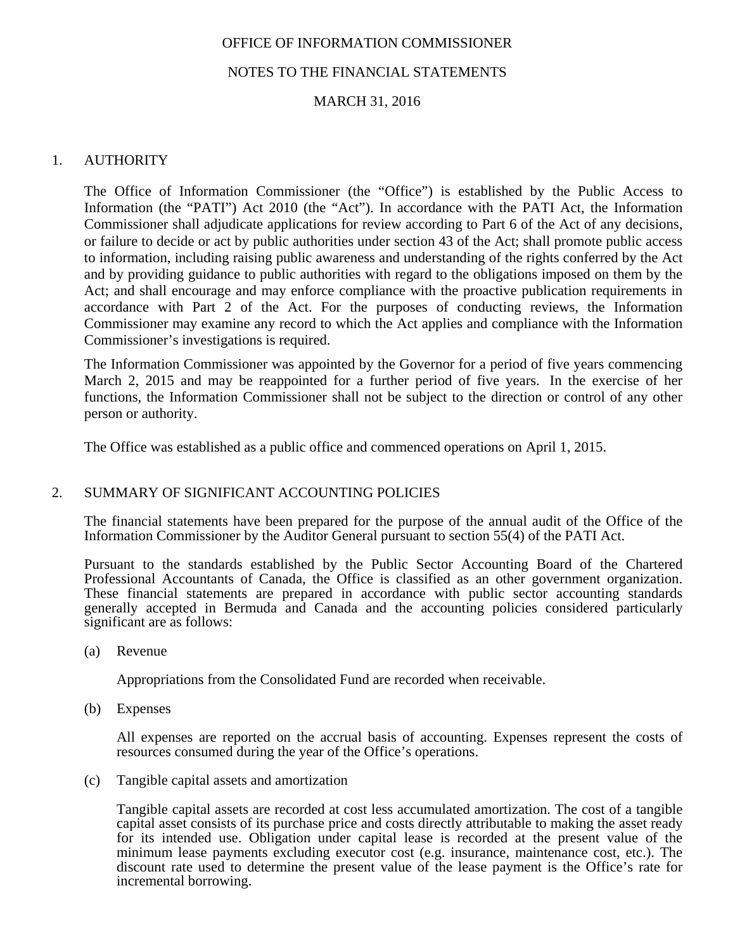# NOTES TO THE FINANCIAL STATEMENTS

# MARCH 31, 2016

# 1. AUTHORITY

The Office of Information Commissioner (the "Office") is established by the Public Access to Information (the "PATI") Act 2010 (the "Act"). In accordance with the PATI Act, the Information Commissioner shall adjudicate applications for review according to Part 6 of the Act of any decisions, or failure to decide or act by public authorities under section 43 of the Act; shall promote public access to information, including raising public awareness and understanding of the rights conferred by the Act and by providing guidance to public authorities with regard to the obligations imposed on them by the Act; and shall encourage and may enforce compliance with the proactive publication requirements in accordance with Part 2 of the Act. For the purposes of conducting reviews, the Information Commissioner may examine any record to which the Act applies and compliance with the Information Commissioner's investigations is required.

The Information Commissioner was appointed by the Governor for a period of five years commencing March 2, 2015 and may be reappointed for a further period of five years. In the exercise of her functions, the Information Commissioner shall not be subject to the direction or control of any other person or authority.

The Office was established as a public office and commenced operations on April 1, 2015.

## 2. SUMMARY OF SIGNIFICANT ACCOUNTING POLICIES

The financial statements have been prepared for the purpose of the annual audit of the Office of the Information Commissioner by the Auditor General pursuant to section 55(4) of the PATI Act.

Pursuant to the standards established by the Public Sector Accounting Board of the Chartered Professional Accountants of Canada, the Office is classified as an other government organization. These financial statements are prepared in accordance with public sector accounting standards generally accepted in Bermuda and Canada and the accounting policies considered particularly significant are as follows:

(a) Revenue

Appropriations from the Consolidated Fund are recorded when receivable.

(b) Expenses

All expenses are reported on the accrual basis of accounting. Expenses represent the costs of resources consumed during the year of the Office's operations.

(c) Tangible capital assets and amortization

Tangible capital assets are recorded at cost less accumulated amortization. The cost of a tangible capital asset consists of its purchase price and costs directly attributable to making the asset ready for its intended use. Obligation under capital lease is recorded at the present value of the minimum lease payments excluding executor cost (e.g. insurance, maintenance cost, etc.). The discount rate used to determine the present value of the lease payment is the Office's rate for incremental borrowing.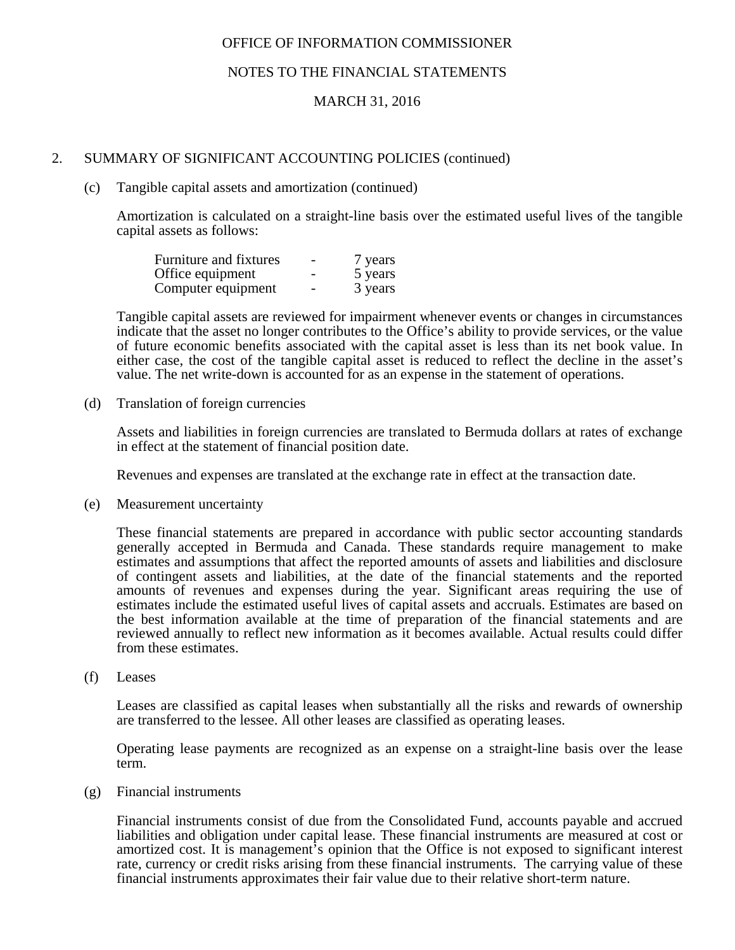## NOTES TO THE FINANCIAL STATEMENTS

## MARCH 31, 2016

## 2. SUMMARY OF SIGNIFICANT ACCOUNTING POLICIES (continued)

#### (c) Tangible capital assets and amortization (continued)

Amortization is calculated on a straight-line basis over the estimated useful lives of the tangible capital assets as follows:

| Furniture and fixtures | $\overline{\phantom{0}}$ | 7 years |
|------------------------|--------------------------|---------|
| Office equipment       |                          | 5 years |
| Computer equipment     | $\overline{\phantom{0}}$ | 3 years |

Tangible capital assets are reviewed for impairment whenever events or changes in circumstances indicate that the asset no longer contributes to the Office's ability to provide services, or the value of future economic benefits associated with the capital asset is less than its net book value. In either case, the cost of the tangible capital asset is reduced to reflect the decline in the asset's value. The net write-down is accounted for as an expense in the statement of operations.

(d) Translation of foreign currencies

Assets and liabilities in foreign currencies are translated to Bermuda dollars at rates of exchange in effect at the statement of financial position date.

Revenues and expenses are translated at the exchange rate in effect at the transaction date.

(e) Measurement uncertainty

These financial statements are prepared in accordance with public sector accounting standards generally accepted in Bermuda and Canada. These standards require management to make estimates and assumptions that affect the reported amounts of assets and liabilities and disclosure of contingent assets and liabilities, at the date of the financial statements and the reported amounts of revenues and expenses during the year. Significant areas requiring the use of estimates include the estimated useful lives of capital assets and accruals. Estimates are based on the best information available at the time of preparation of the financial statements and are reviewed annually to reflect new information as it becomes available. Actual results could differ from these estimates.

(f) Leases

Leases are classified as capital leases when substantially all the risks and rewards of ownership are transferred to the lessee. All other leases are classified as operating leases.

Operating lease payments are recognized as an expense on a straight-line basis over the lease term.

(g) Financial instruments

Financial instruments consist of due from the Consolidated Fund, accounts payable and accrued liabilities and obligation under capital lease. These financial instruments are measured at cost or amortized cost. It is management's opinion that the Office is not exposed to significant interest rate, currency or credit risks arising from these financial instruments. The carrying value of these financial instruments approximates their fair value due to their relative short-term nature.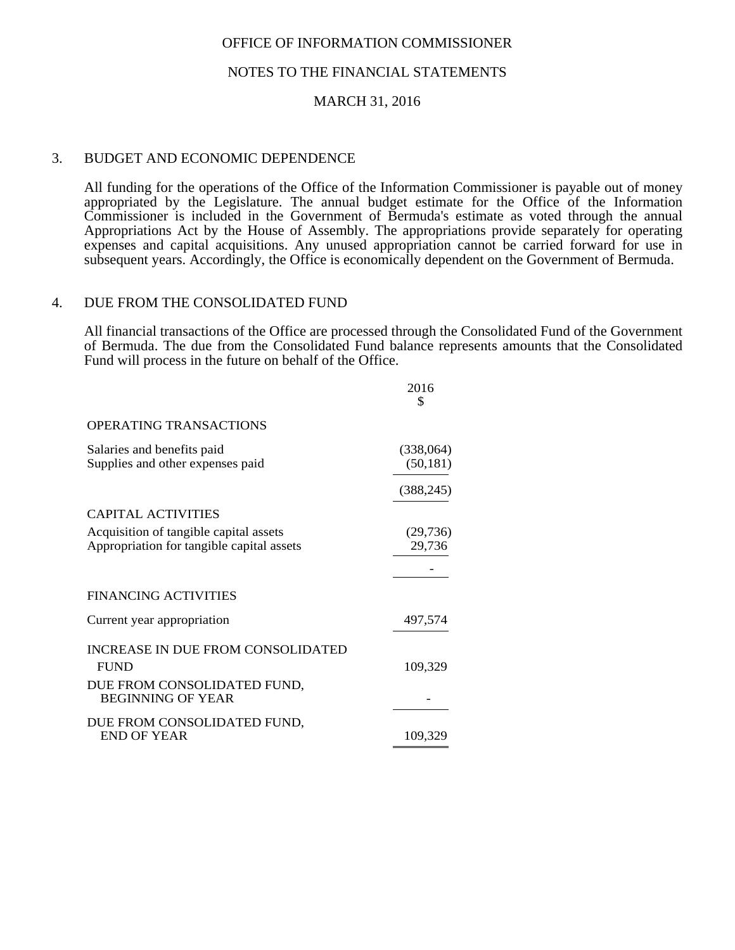#### NOTES TO THE FINANCIAL STATEMENTS

#### MARCH 31, 2016

#### 3. BUDGET AND ECONOMIC DEPENDENCE

 All funding for the operations of the Office of the Information Commissioner is payable out of money appropriated by the Legislature. The annual budget estimate for the Office of the Information Commissioner is included in the Government of Bermuda's estimate as voted through the annual Appropriations Act by the House of Assembly. The appropriations provide separately for operating expenses and capital acquisitions. Any unused appropriation cannot be carried forward for use in subsequent years. Accordingly, the Office is economically dependent on the Government of Bermuda.

#### 4. DUE FROM THE CONSOLIDATED FUND

All financial transactions of the Office are processed through the Consolidated Fund of the Government of Bermuda. The due from the Consolidated Fund balance represents amounts that the Consolidated Fund will process in the future on behalf of the Office.

|                                                                                     | 2016<br>\$             |
|-------------------------------------------------------------------------------------|------------------------|
| OPERATING TRANSACTIONS                                                              |                        |
| Salaries and benefits paid<br>Supplies and other expenses paid                      | (338,064)<br>(50, 181) |
|                                                                                     | (388, 245)             |
| CAPITAL ACTIVITIES                                                                  |                        |
| Acquisition of tangible capital assets<br>Appropriation for tangible capital assets | (29, 736)<br>29,736    |
|                                                                                     |                        |
| <b>FINANCING ACTIVITIES</b>                                                         |                        |
| Current year appropriation                                                          | 497,574                |
| <b>INCREASE IN DUE FROM CONSOLIDATED</b><br><b>FUND</b>                             | 109,329                |
| DUE FROM CONSOLIDATED FUND,<br><b>BEGINNING OF YEAR</b>                             |                        |
| DUE FROM CONSOLIDATED FUND,<br>END OF YEAR                                          | 109,329                |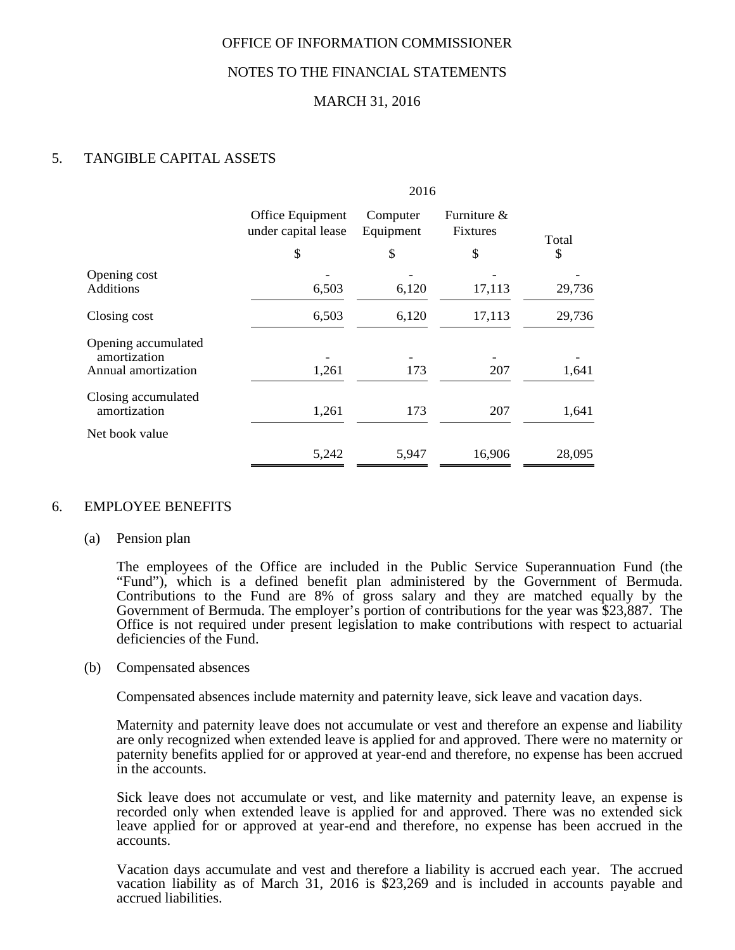## NOTES TO THE FINANCIAL STATEMENTS

# MARCH 31, 2016

# 5. TANGIBLE CAPITAL ASSETS

|                                                            |                                               | 2016                        |                                      |             |
|------------------------------------------------------------|-----------------------------------------------|-----------------------------|--------------------------------------|-------------|
|                                                            | Office Equipment<br>under capital lease<br>\$ | Computer<br>Equipment<br>\$ | Furniture &<br><b>Fixtures</b><br>\$ | Total<br>\$ |
| Opening cost<br><b>Additions</b>                           | 6,503                                         | 6,120                       | 17,113                               | 29,736      |
| Closing cost                                               | 6,503                                         | 6,120                       | 17,113                               | 29,736      |
| Opening accumulated<br>amortization<br>Annual amortization | 1,261                                         | 173                         | 207                                  | 1,641       |
| Closing accumulated<br>amortization                        | 1,261                                         | 173                         | 207                                  | 1,641       |
| Net book value                                             |                                               |                             |                                      |             |
|                                                            | 5,242                                         | 5,947                       | 16,906                               | 28,095      |

## 6. EMPLOYEE BENEFITS

#### (a) Pension plan

 The employees of the Office are included in the Public Service Superannuation Fund (the "Fund"), which is a defined benefit plan administered by the Government of Bermuda. Contributions to the Fund are 8% of gross salary and they are matched equally by the Government of Bermuda. The employer's portion of contributions for the year was \$23,887. The Office is not required under present legislation to make contributions with respect to actuarial deficiencies of the Fund.

#### (b) Compensated absences

Compensated absences include maternity and paternity leave, sick leave and vacation days.

 Maternity and paternity leave does not accumulate or vest and therefore an expense and liability are only recognized when extended leave is applied for and approved. There were no maternity or paternity benefits applied for or approved at year-end and therefore, no expense has been accrued in the accounts.

 Sick leave does not accumulate or vest, and like maternity and paternity leave, an expense is recorded only when extended leave is applied for and approved. There was no extended sick leave applied for or approved at year-end and therefore, no expense has been accrued in the accounts.

Vacation days accumulate and vest and therefore a liability is accrued each year. The accrued vacation liability as of March 31, 2016 is \$23,269 and is included in accounts payable and accrued liabilities.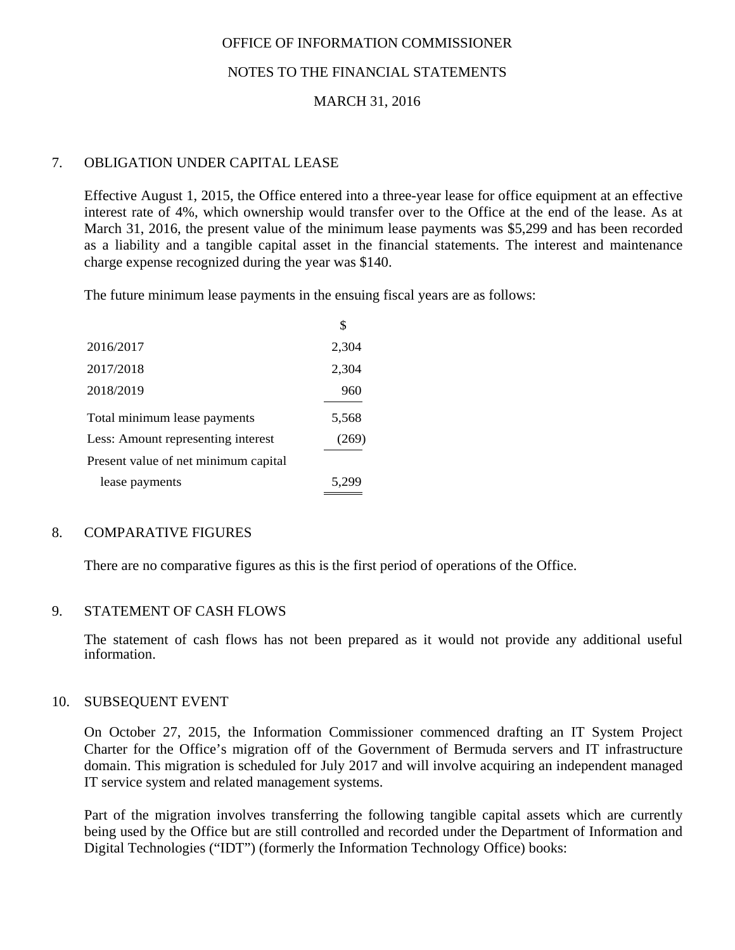# NOTES TO THE FINANCIAL STATEMENTS

# MARCH 31, 2016

# 7. OBLIGATION UNDER CAPITAL LEASE

Effective August 1, 2015, the Office entered into a three-year lease for office equipment at an effective interest rate of 4%, which ownership would transfer over to the Office at the end of the lease. As at March 31, 2016, the present value of the minimum lease payments was \$5,299 and has been recorded as a liability and a tangible capital asset in the financial statements. The interest and maintenance charge expense recognized during the year was \$140.

The future minimum lease payments in the ensuing fiscal years are as follows:

|                                      | \$    |
|--------------------------------------|-------|
| 2016/2017                            | 2,304 |
| 2017/2018                            | 2,304 |
| 2018/2019                            | 960   |
| Total minimum lease payments         | 5,568 |
| Less: Amount representing interest   | (269) |
| Present value of net minimum capital |       |
| lease payments                       | 5.299 |

## 8. COMPARATIVE FIGURES

There are no comparative figures as this is the first period of operations of the Office.

## 9. STATEMENT OF CASH FLOWS

The statement of cash flows has not been prepared as it would not provide any additional useful information.

#### 10. SUBSEQUENT EVENT

On October 27, 2015, the Information Commissioner commenced drafting an IT System Project Charter for the Office's migration off of the Government of Bermuda servers and IT infrastructure domain. This migration is scheduled for July 2017 and will involve acquiring an independent managed IT service system and related management systems.

Part of the migration involves transferring the following tangible capital assets which are currently being used by the Office but are still controlled and recorded under the Department of Information and Digital Technologies ("IDT") (formerly the Information Technology Office) books: